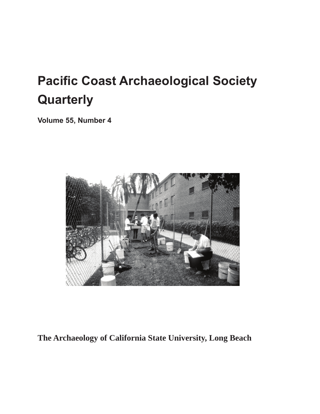# **Pacific Coast Archaeological Society Quarterly**

**Volume 55, Number 4**



#### **The Archaeology of California State University, Long Beach**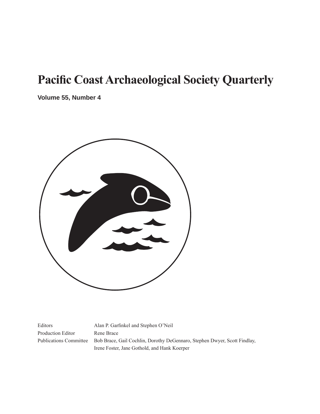## **Pacific Coast Archaeological Society Quarterly**

**Volume 55, Number 4**



Production Editor Rene Brace

Editors Alan P. Garfinkel and Stephen O'Neil Publications Committee Bob Brace, Gail Cochlin, Dorothy DeGennaro, Stephen Dwyer, Scott Findlay, Irene Foster, Jane Gothold, and Hank Koerper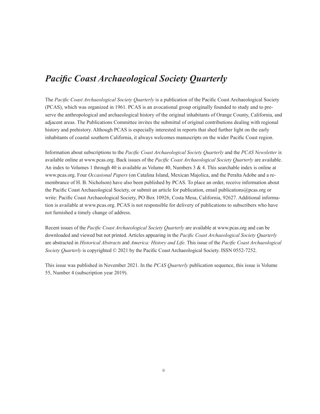#### *Pacific Coast Archaeological Society Quarterly*

The *Pacific Coast Archaeological Society Quarterly* is a publication of the Pacific Coast Archaeological Society (PCAS), which was organized in 1961. PCAS is an avocational group originally founded to study and to preserve the anthropological and archaeological history of the original inhabitants of Orange County, California, and adjacent areas. The Publications Committee invites the submittal of original contributions dealing with regional history and prehistory. Although PCAS is especially interested in reports that shed further light on the early inhabitants of coastal southern California, it always welcomes manuscripts on the wider Pacific Coast region.

Information about subscriptions to the *Pacific Coast Archaeological Society Quarterly* and the *PCAS Newsletter* is available online at www.pcas.org. Back issues of the *Pacific Coast Archaeological Society Quarterly* are available. An index to Volumes 1 through 40 is available as Volume 40, Numbers 3 & 4. This searchable index is online at www.pcas.org. Four *Occasional Papers* (on Catalina Island, Mexican Majolica, and the Peralta Adobe and a remembrance of H. B. Nicholson) have also been published by PCAS. To place an order, receive information about the Pacific Coast Archaeological Society, or submit an article for publication, email publications@pcas.org or write: Pacific Coast Archaeological Society, PO Box 10926, Costa Mesa, California, 92627. Additional information is available at www.pcas.org. PCAS is not responsible for delivery of publications to subscribers who have not furnished a timely change of address.

Recent issues of the *Pacific Coast Archaeological Society Quarterly* are available at www.pcas.org and can be downloaded and viewed but not printed. Articles appearing in the *Pacific Coast Archaeological Society Quarterly*  are abstracted in *Historical Abstracts* and *America: History and Life*. This issue of the *Pacific Coast Archaeological Society Quarterly* is copyrighted © 2021 by the Pacific Coast Archaeological Society. ISSN 0552-7252.

This issue was published in November 2021. In the *PCAS Quarterly* publication sequence, this issue is Volume 55, Number 4 (subscription year 2019).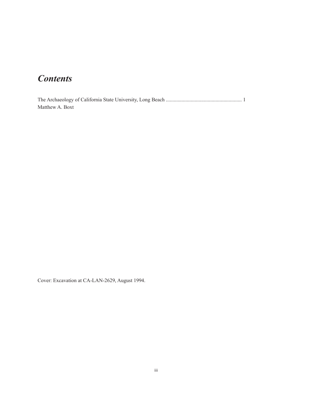### *Contents*

The Archaeology of California State University, Long Beach .......................................................... 1 Matthew A. Boxt

Cover: Excavation at CA-LAN-2629, August 1994.